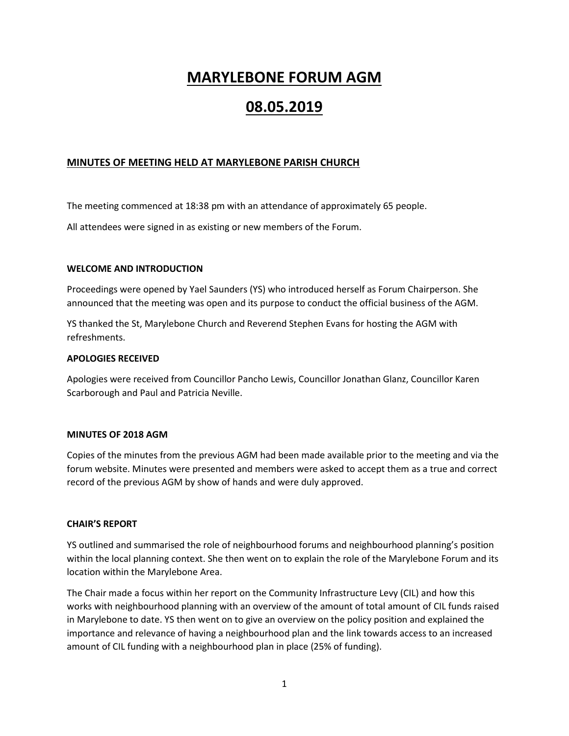# **MARYLEBONE FORUM AGM**

# **08.05.2019**

# **MINUTES OF MEETING HELD AT MARYLEBONE PARISH CHURCH**

The meeting commenced at 18:38 pm with an attendance of approximately 65 people.

All attendees were signed in as existing or new members of the Forum.

#### **WELCOME AND INTRODUCTION**

Proceedings were opened by Yael Saunders (YS) who introduced herself as Forum Chairperson. She announced that the meeting was open and its purpose to conduct the official business of the AGM.

YS thanked the St, Marylebone Church and Reverend Stephen Evans for hosting the AGM with refreshments.

#### **APOLOGIES RECEIVED**

Apologies were received from Councillor Pancho Lewis, Councillor Jonathan Glanz, Councillor Karen Scarborough and Paul and Patricia Neville.

#### **MINUTES OF 2018 AGM**

Copies of the minutes from the previous AGM had been made available prior to the meeting and via the forum website. Minutes were presented and members were asked to accept them as a true and correct record of the previous AGM by show of hands and were duly approved.

## **CHAIR'S REPORT**

YS outlined and summarised the role of neighbourhood forums and neighbourhood planning's position within the local planning context. She then went on to explain the role of the Marylebone Forum and its location within the Marylebone Area.

The Chair made a focus within her report on the Community Infrastructure Levy (CIL) and how this works with neighbourhood planning with an overview of the amount of total amount of CIL funds raised in Marylebone to date. YS then went on to give an overview on the policy position and explained the importance and relevance of having a neighbourhood plan and the link towards access to an increased amount of CIL funding with a neighbourhood plan in place (25% of funding).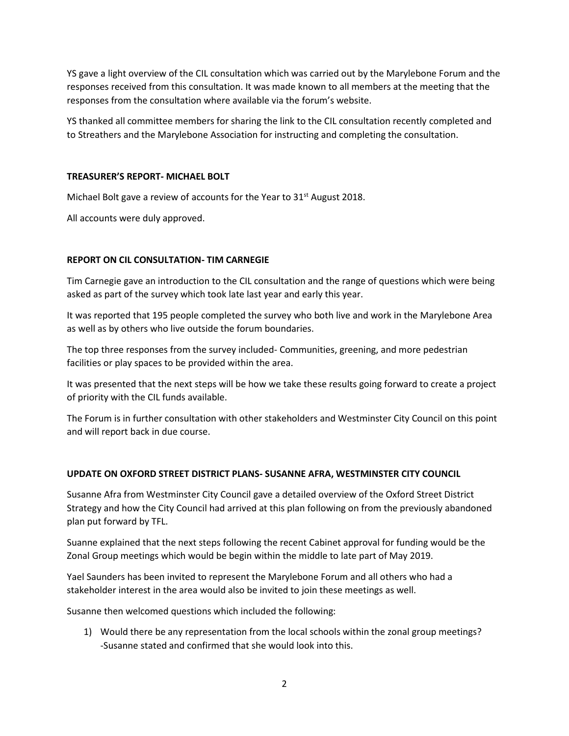YS gave a light overview of the CIL consultation which was carried out by the Marylebone Forum and the responses received from this consultation. It was made known to all members at the meeting that the responses from the consultation where available via the forum's website.

YS thanked all committee members for sharing the link to the CIL consultation recently completed and to Streathers and the Marylebone Association for instructing and completing the consultation.

## **TREASURER'S REPORT- MICHAEL BOLT**

Michael Bolt gave a review of accounts for the Year to  $31<sup>st</sup>$  August 2018.

All accounts were duly approved.

# **REPORT ON CIL CONSULTATION- TIM CARNEGIE**

Tim Carnegie gave an introduction to the CIL consultation and the range of questions which were being asked as part of the survey which took late last year and early this year.

It was reported that 195 people completed the survey who both live and work in the Marylebone Area as well as by others who live outside the forum boundaries.

The top three responses from the survey included- Communities, greening, and more pedestrian facilities or play spaces to be provided within the area.

It was presented that the next steps will be how we take these results going forward to create a project of priority with the CIL funds available.

The Forum is in further consultation with other stakeholders and Westminster City Council on this point and will report back in due course.

## **UPDATE ON OXFORD STREET DISTRICT PLANS- SUSANNE AFRA, WESTMINSTER CITY COUNCIL**

Susanne Afra from Westminster City Council gave a detailed overview of the Oxford Street District Strategy and how the City Council had arrived at this plan following on from the previously abandoned plan put forward by TFL.

Suanne explained that the next steps following the recent Cabinet approval for funding would be the Zonal Group meetings which would be begin within the middle to late part of May 2019.

Yael Saunders has been invited to represent the Marylebone Forum and all others who had a stakeholder interest in the area would also be invited to join these meetings as well.

Susanne then welcomed questions which included the following:

1) Would there be any representation from the local schools within the zonal group meetings? -Susanne stated and confirmed that she would look into this.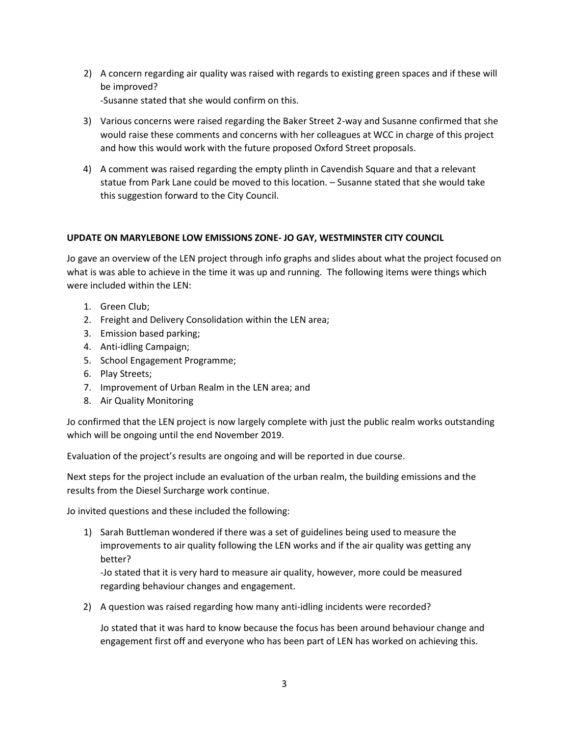2) A concern regarding air quality was raised with regards to existing green spaces and if these will be improved?

-Susanne stated that she would confirm on this.

- 3) Various concerns were raised regarding the Baker Street 2-way and Susanne confirmed that she would raise these comments and concerns with her colleagues at WCC in charge of this project and how this would work with the future proposed Oxford Street proposals.
- 4) A comment was raised regarding the empty plinth in Cavendish Square and that a relevant statue from Park Lane could be moved to this location. – Susanne stated that she would take this suggestion forward to the City Council.

# **UPDATE ON MARYLEBONE LOW EMISSIONS ZONE- JO GAY, WESTMINSTER CITY COUNCIL**

Jo gave an overview of the LEN project through info graphs and slides about what the project focused on what is was able to achieve in the time it was up and running. The following items were things which were included within the LEN:

- 1. Green Club;
- 2. Freight and Delivery Consolidation within the LEN area;
- 3. Emission based parking;
- 4. Anti-idling Campaign;
- 5. School Engagement Programme;
- 6. Play Streets;
- 7. Improvement of Urban Realm in the LEN area; and
- 8. Air Quality Monitoring

Jo confirmed that the LEN project is now largely complete with just the public realm works outstanding which will be ongoing until the end November 2019.

Evaluation of the project's results are ongoing and will be reported in due course.

Next steps for the project include an evaluation of the urban realm, the building emissions and the results from the Diesel Surcharge work continue.

Jo invited questions and these included the following:

1) Sarah Buttleman wondered if there was a set of guidelines being used to measure the improvements to air quality following the LEN works and if the air quality was getting any better?

-Jo stated that it is very hard to measure air quality, however, more could be measured regarding behaviour changes and engagement.

2) A question was raised regarding how many anti-idling incidents were recorded?

Jo stated that it was hard to know because the focus has been around behaviour change and engagement first off and everyone who has been part of LEN has worked on achieving this.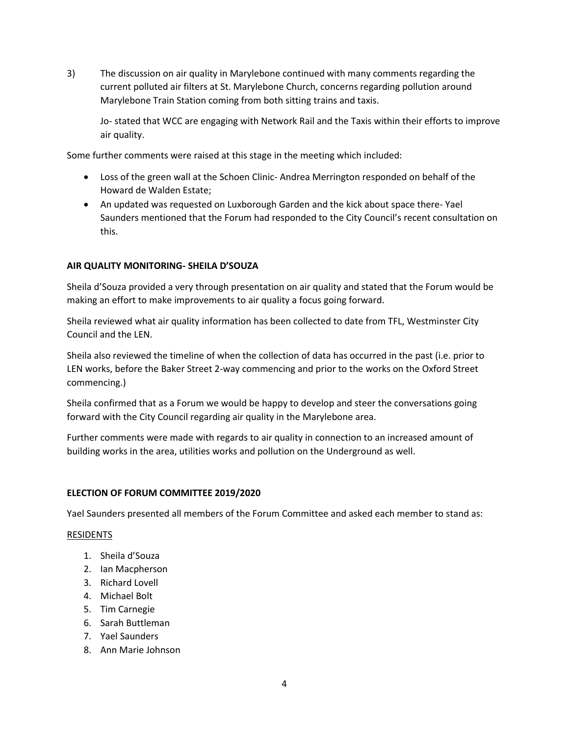3) The discussion on air quality in Marylebone continued with many comments regarding the current polluted air filters at St. Marylebone Church, concerns regarding pollution around Marylebone Train Station coming from both sitting trains and taxis.

Jo- stated that WCC are engaging with Network Rail and the Taxis within their efforts to improve air quality.

Some further comments were raised at this stage in the meeting which included:

- Loss of the green wall at the Schoen Clinic- Andrea Merrington responded on behalf of the Howard de Walden Estate;
- An updated was requested on Luxborough Garden and the kick about space there- Yael Saunders mentioned that the Forum had responded to the City Council's recent consultation on this.

# **AIR QUALITY MONITORING- SHEILA D'SOUZA**

Sheila d'Souza provided a very through presentation on air quality and stated that the Forum would be making an effort to make improvements to air quality a focus going forward.

Sheila reviewed what air quality information has been collected to date from TFL, Westminster City Council and the LEN.

Sheila also reviewed the timeline of when the collection of data has occurred in the past (i.e. prior to LEN works, before the Baker Street 2-way commencing and prior to the works on the Oxford Street commencing.)

Sheila confirmed that as a Forum we would be happy to develop and steer the conversations going forward with the City Council regarding air quality in the Marylebone area.

Further comments were made with regards to air quality in connection to an increased amount of building works in the area, utilities works and pollution on the Underground as well.

## **ELECTION OF FORUM COMMITTEE 2019/2020**

Yael Saunders presented all members of the Forum Committee and asked each member to stand as:

## RESIDENTS

- 1. Sheila d'Souza
- 2. Ian Macpherson
- 3. Richard Lovell
- 4. Michael Bolt
- 5. Tim Carnegie
- 6. Sarah Buttleman
- 7. Yael Saunders
- 8. Ann Marie Johnson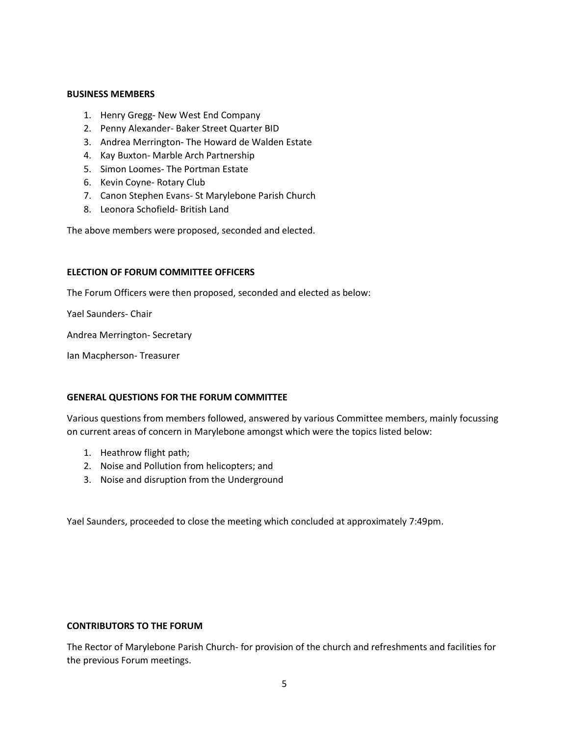#### **BUSINESS MEMBERS**

- 1. Henry Gregg- New West End Company
- 2. Penny Alexander- Baker Street Quarter BID
- 3. Andrea Merrington- The Howard de Walden Estate
- 4. Kay Buxton- Marble Arch Partnership
- 5. Simon Loomes- The Portman Estate
- 6. Kevin Coyne- Rotary Club
- 7. Canon Stephen Evans- St Marylebone Parish Church
- 8. Leonora Schofield- British Land

The above members were proposed, seconded and elected.

#### **ELECTION OF FORUM COMMITTEE OFFICERS**

The Forum Officers were then proposed, seconded and elected as below:

Yael Saunders- Chair

Andrea Merrington- Secretary

Ian Macpherson- Treasurer

#### **GENERAL QUESTIONS FOR THE FORUM COMMITTEE**

Various questions from members followed, answered by various Committee members, mainly focussing on current areas of concern in Marylebone amongst which were the topics listed below:

- 1. Heathrow flight path;
- 2. Noise and Pollution from helicopters; and
- 3. Noise and disruption from the Underground

Yael Saunders, proceeded to close the meeting which concluded at approximately 7:49pm.

## **CONTRIBUTORS TO THE FORUM**

The Rector of Marylebone Parish Church- for provision of the church and refreshments and facilities for the previous Forum meetings.